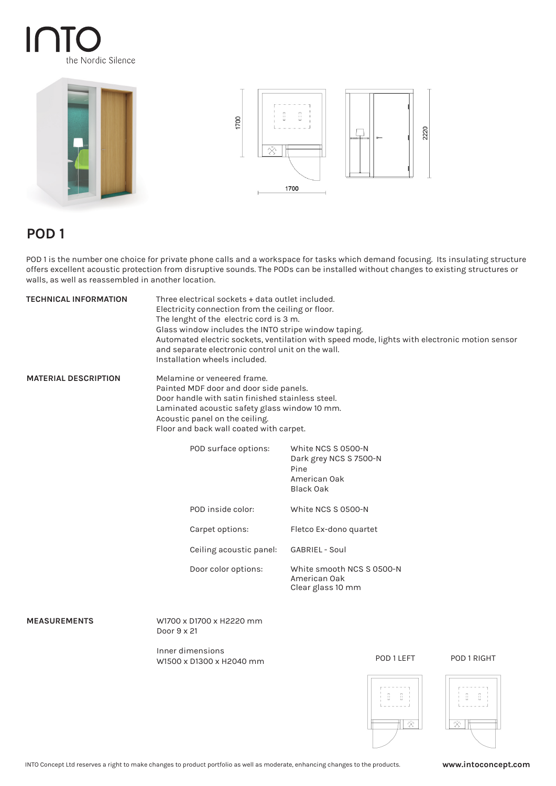# $\mathsf I$ the Nordic Silence





# **POD 1**

POD 1 is the number one choice for private phone calls and a workspace for tasks which demand focusing. Its insulating structure offers excellent acoustic protection from disruptive sounds. The PODs can be installed without changes to existing structures or walls, as well as reassembled in another location.

| <b>TECHNICAL INFORMATION</b> | Three electrical sockets + data outlet included.<br>Electricity connection from the ceiling or floor.<br>The lenght of the electric cord is 3 m.<br>Glass window includes the INTO stripe window taping.<br>Automated electric sockets, ventilation with speed mode, lights with electronic motion sensor<br>and separate electronic control unit on the wall.<br>Installation wheels included. |                                                                                          |
|------------------------------|-------------------------------------------------------------------------------------------------------------------------------------------------------------------------------------------------------------------------------------------------------------------------------------------------------------------------------------------------------------------------------------------------|------------------------------------------------------------------------------------------|
| <b>MATERIAL DESCRIPTION</b>  | Melamine or veneered frame.<br>Painted MDF door and door side panels.<br>Door handle with satin finished stainless steel.<br>Laminated acoustic safety glass window 10 mm.<br>Acoustic panel on the ceiling.<br>Floor and back wall coated with carpet.                                                                                                                                         |                                                                                          |
|                              | POD surface options:                                                                                                                                                                                                                                                                                                                                                                            | White NCS S 0500-N<br>Dark grey NCS S 7500-N<br>Pine<br>American Oak<br><b>Black Oak</b> |
|                              | POD inside color:                                                                                                                                                                                                                                                                                                                                                                               | White NCS S 0500-N                                                                       |
|                              | Carpet options:                                                                                                                                                                                                                                                                                                                                                                                 | Fletco Ex-dono quartet                                                                   |
|                              | Ceiling acoustic panel:                                                                                                                                                                                                                                                                                                                                                                         | <b>GABRIEL - Soul</b>                                                                    |
|                              | Door color options:                                                                                                                                                                                                                                                                                                                                                                             | White smooth NCS S 0500-N<br>American Oak<br>Clear glass 10 mm                           |
| <b>MEASUREMENTS</b>          | W1700 x D1700 x H2220 mm<br>Door 9 x 21                                                                                                                                                                                                                                                                                                                                                         |                                                                                          |
|                              | Inner dimensions<br>W1500 x D1300 x H2040 mm                                                                                                                                                                                                                                                                                                                                                    | POD 1 LEFT<br>POD 1 RIGHT                                                                |
|                              |                                                                                                                                                                                                                                                                                                                                                                                                 |                                                                                          |

 $\tilde{\gamma_{\rm s}^{(1)}}$ 

 $\overline{\otimes}$